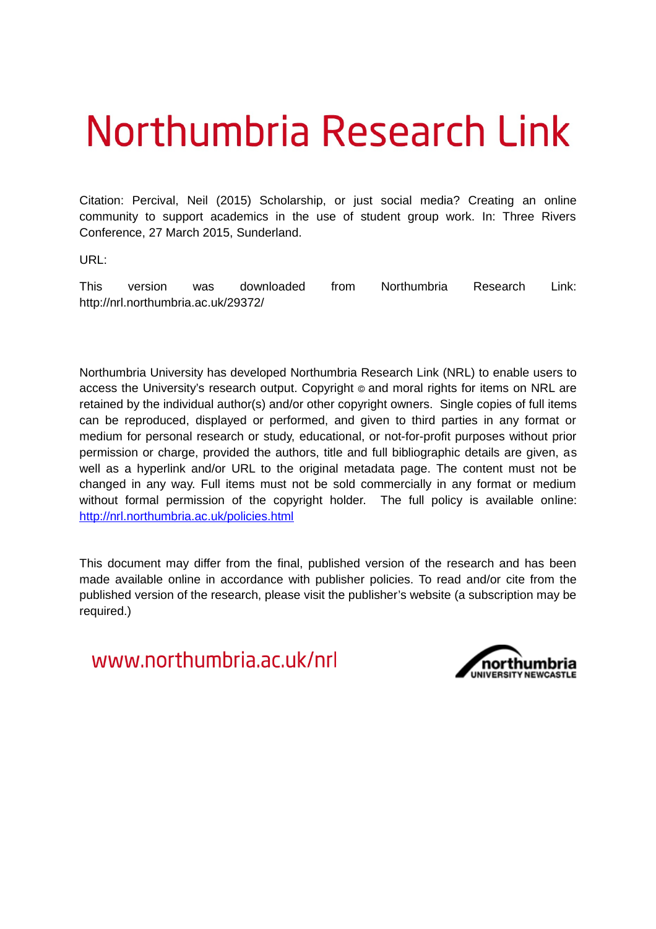#### Northumbria Research Link

Citation: Percival, Neil (2015) Scholarship, or just social media? Creating an online community to support academics in the use of student group work. In: Three Rivers Conference, 27 March 2015, Sunderland.

URL:

This version was downloaded from Northumbria Research Link: http://nrl.northumbria.ac.uk/29372/

Northumbria University has developed Northumbria Research Link (NRL) to enable users to access the University's research output. Copyright  $\circ$  and moral rights for items on NRL are retained by the individual author(s) and/or other copyright owners. Single copies of full items can be reproduced, displayed or performed, and given to third parties in any format or medium for personal research or study, educational, or not-for-profit purposes without prior permission or charge, provided the authors, title and full bibliographic details are given, as well as a hyperlink and/or URL to the original metadata page. The content must not be changed in any way. Full items must not be sold commercially in any format or medium without formal permission of the copyright holder. The full policy is available online: <http://nrl.northumbria.ac.uk/policies.html>

This document may differ from the final, published version of the research and has been made available online in accordance with publisher policies. To read and/or cite from the published version of the research, please visit the publisher's website (a subscription may be required.)

www.northumbria.ac.uk/nrl